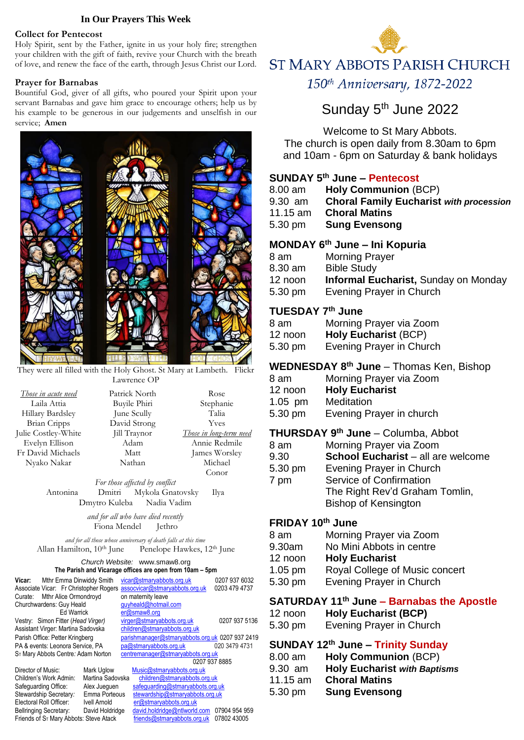#### **In Our Prayers This Week**

#### **Collect for Pentecost**

Holy Spirit, sent by the Father, ignite in us your holy fire; strengthen your children with the gift of faith, revive your Church with the breath of love, and renew the face of the earth, through Jesus Christ our Lord.

#### **Prayer for Barnabas**

Bountiful God, giver of all gifts, who poured your Spirit upon your servant Barnabas and gave him grace to encourage others; help us by his example to be generous in our judgements and unselfish in our service; **Amen**



They were all filled with the Holy Ghost. St Mary at Lambeth. Flickr Lawrence OP

| <u>Those in acute need</u> | Patrick North | Rose                    |
|----------------------------|---------------|-------------------------|
| Laila Attia                | Buyile Phiri  | Stephanie               |
| Hillary Bardsley           | June Scully   | Talia                   |
| <b>Brian Cripps</b>        | David Strong  | <b>Yves</b>             |
| Julie Costley-White        | Jill Traynor  | Those in long-term need |
| Evelyn Ellison             | Adam          | Annie Redmile           |
| Fr David Michaels          | Matt          | James Worsley           |
| Nyako Nakar                | Nathan        | Michael                 |
|                            |               | Conor                   |

*For those affected by conflict* Antonina Dmitri Mykola Gnatovsky Ilya Dmytro Kuleba Nadia Vadim

> *and for all who have died recently* Fiona Mendel Jethro

*and for all those whose anniversary of death falls at this time* Allan Hamilton, 10<sup>th</sup> June Penelope Hawkes, 12<sup>th</sup> June

#### *Church Website:* www.smaw8.org **The Parish and Vicarage offices are open from 10am – 5pm**

| Vicar:<br>Mthr Emma Dinwiddy Smith<br>Associate Vicar: Fr Christopher Rogers        |                     |  | vicar@stmaryabbots.org.uk<br>assocvicar@stmaryabbots.org.uk | 0207 937 6032<br>0203 479 4737 |
|-------------------------------------------------------------------------------------|---------------------|--|-------------------------------------------------------------|--------------------------------|
| Mthr Alice Ormondroyd<br>Curate:                                                    |                     |  | on maternity leave                                          |                                |
| Churchwardens: Guy Heald                                                            |                     |  | quyheald@hotmail.com                                        |                                |
| Ed Warrick                                                                          |                     |  | er@smaw8.org                                                |                                |
| Vestry: Simon Fitter (Head Virger)                                                  |                     |  | virger@stmaryabbots.org.uk                                  | 0207 937 5136                  |
| Assistant Virger: Martina Sadovska                                                  |                     |  | children@stmaryabbots.org.uk                                |                                |
| Parish Office: Petter Kringberg                                                     |                     |  | parishmanager@stmaryabbots.org.uk 0207 937 2419             |                                |
| PA & events: Leonora Service, PA                                                    |                     |  | pa@stmaryabbots.org.uk                                      | 020 3479 4731                  |
| S <sub>T</sub> Mary Abbots Centre: Adam Norton<br>centremanager@stmaryabbots.org.uk |                     |  |                                                             |                                |
|                                                                                     |                     |  | 0207 937 8885                                               |                                |
| Director of Music:                                                                  | Mark Uglow          |  | Music@stmaryabbots.org.uk                                   |                                |
| Children's Work Admin:                                                              | Martina Sadovska    |  | children@stmaryabbots.org.uk                                |                                |
| Safeguarding Office:                                                                | Alex Juequen        |  | safequarding@stmaryabbots.org.uk                            |                                |
| Stewardship Secretary:                                                              | Emma Porteous       |  | stewardship@stmaryabbots.org.uk                             |                                |
| Electoral Roll Officer:                                                             | <b>Ivell Arnold</b> |  | er@stmaryabbots.org.uk                                      |                                |
| <b>Bellringing Secretary:</b>                                                       | David Holdridge     |  | david.holdridge@ntlworld.com                                | 07904 954 959                  |
| Friends of S <sub>T</sub> Mary Abbots: Steve Atack                                  |                     |  | friends@stmaryabbots.org.uk                                 | 07802 43005                    |



150<sup>th</sup> Anniversary, 1872-2022

# Sunday 5<sup>th</sup> June 2022

Welcome to St Mary Abbots.

The church is open daily from 8.30am to 6pm and 10am - 6pm on Saturday & bank holidays

#### **SUNDAY 5 th June – Pentecost**

| 8.00 am     | <b>Holy Communion (BCP)</b>                    |
|-------------|------------------------------------------------|
| 9.30 am     | <b>Choral Family Eucharist with procession</b> |
| 11.15 am    | <b>Choral Matins</b>                           |
| 5.30 pm     | <b>Sung Evensong</b>                           |
| ----------- |                                                |

## **MONDAY 6 th June – Ini Kopuria**

| 8 am              | <b>Morning Prayer</b>                       |
|-------------------|---------------------------------------------|
| 8.30 am           | <b>Bible Study</b>                          |
| 12 noon           | <b>Informal Eucharist, Sunday on Monday</b> |
| $5.30 \text{ pm}$ | Evening Prayer in Church                    |

#### **TUESDAY 7 th June**

| 8 am    | Morning Prayer via Zoom     |
|---------|-----------------------------|
| 12 noon | <b>Holy Eucharist (BCP)</b> |
| 5.30 pm | Evening Prayer in Church    |

## **WEDNESDAY 8 th June** – Thomas Ken, Bishop

| 8 am    | Morning Prayer via Zoom |
|---------|-------------------------|
| 12 noon | <b>Holy Eucharist</b>   |

- 1.05 pm Meditation
- 5.30 pm Evening Prayer in church

# **THURSDAY 9 th June** – Columba, Abbot

| 8 am    | Morning Prayer via Zoom            |
|---------|------------------------------------|
| 9.30    | School Eucharist - all are welcome |
| 5.30 pm | Evening Prayer in Church           |
| 7 pm    | Service of Confirmation            |
|         | The Right Rev'd Graham Tomlin,     |
|         | <b>Bishop of Kensington</b>        |
|         |                                    |

# **FRIDAY 10th June**

| 8 am   | Morning Prayer via Zoom  |
|--------|--------------------------|
| 9.30am | No Mini Abbots in centre |

- 12 noon **Holy Eucharist**
- 1.05 pm Royal College of Music concert
- 5.30 pm Evening Prayer in Church

# **SATURDAY 11th June – Barnabas the Apostle**

| 12 noon | <b>Holy Eucharist (BCP)</b> |
|---------|-----------------------------|
| 5.30 pm | Evening Prayer in Church    |

# **SUNDAY 12th June – Trinity Sunday**

| 8.00 am  | <b>Holy Communion (BCP)</b>         |
|----------|-------------------------------------|
| 9.30 am  | <b>Holy Eucharist with Baptisms</b> |
| 11.15 am | <b>Choral Matins</b>                |
| 5.30 pm  | <b>Sung Evensong</b>                |